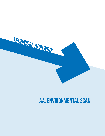

# **AA. Environmental Scan**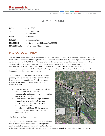7761 W RIVERSIDE DRIVE, SUITE 201 | BOISE, ID 83714 | P 208.898.0012

# MEMORANDUM

| DATE:                | May 1, 2017                             |
|----------------------|-----------------------------------------|
| TO:                  | Andy Daleiden, PE<br>Project Manager    |
| FROM:                | Kristen McCoy                           |
| SUBJECT:             | Environmental Scan                      |
| PROJECT NO.          | Key No. 20049 (ACHD Project No. 317045) |
| <b>PROJECT NAME:</b> | Int. Glenwood & State St Study          |

### PROJECT DESCRIPTION

ı

The Glenwood Street and State Street intersection is a critical junction for moving people and goods through the State Street corridor and connecting the cities of Boise and Garden City. This signalized, high-volume intersection carries approximately 45,000 daily vehicles and two of the highest transit ridership routes (#9 and #9X) in the Treasure Valley. The adjacent land uses serve as a regional commercial hub and evolving transit-oriented development (TOD) node. The intersection has a diverse set of challenges, which have led to the Idaho Transportation Department (ITD) and Ada County Highway District (ACHD) partnering to lead the Glenwood Street and State Street Intersection Study.

This 12-month Study will engage partnering agencies, property owners, businesses, and the community atlarge to assess and identify a preferred intersection solution at the Glenwood Street and State Street intersection that:

- Improves intersection functionality for all users, including those with disabilities,
- Provides enhanced opportunities for pedestrian and bicycle connectivity,
- Accommodates the surrounding current and planned land uses, including the proposed redevelopment of State Street as a transitoriented corridor, and
- Complies with ACHD and ITD standards and supports the State Street Transit & Traffic Operational Plan.

The study area is shown to the right.

This Environmental Scan Memo was prepared to identify known environmental constraints within the project study area. Online research was conducted to determine



if the project area included any known historic sites, hazardous materials, threatened & endangered species, or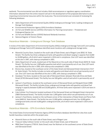wetlands. The environmental scan did not include a field reconnaissance or regulatory agency coordination. Information obtained from the online research will aid in the development of the proposed alternative to avoid impacting environmental resources within the study area. The environmental scan consisted of reviewing the following databases:

- Idaho Department of Environmental Quality (IDEQ) Underground Storage Tank / Leaking Underground Storage Tank Database
- Environmental Protection Agency (EPA) Envirofacts Database
- US Fish and Wildlife Service (USFWS) Information for Planning Conservation Threatened and Endangered Species List
- US Fish and Wildlife Service (USFWS) National Wetlands Inventory
- National Register of Historic Places

#### Hazardous Materials – Underground Storage Tank Database

A review of the Idaho Department of Environmental Quality (IDEQ) Underground Storage Tank (UST) and Leaking Underground Storage Tank (LUST) database identified seven locations with underground storage tanks:

- Maverick Country Store, located on the south side of State Street, east of Bogart Lane (8561 W. State Street). This facility has three underground tanks with gasoline and diesel ranging in capacity from 6,000 to 10,000 gallons, all of which were inspected in 2016 and in compliance. One LUST event was identified at the site in 1997, with cleanup completed in 2001.
- Idaho Department of Lands, located east of the Maverick on the south side of State Street (8255 W. State Street). This facility has one 1,000 gallon gasoline tank which is permanently out of use. One LUST event was identified at the site in 1993, with cleanup also completed in 1993.
- Bronco Gas, located at the southeast corner of the State Street and Glenwood Street intersection (7227 W. State Street). This facility includes six tanks with gasoline and diesel which are all permanently out of use. One LUST event was identified at the site in 1992, with cleanup completed in 1995.
- Goodyear Tire Store, located on the east side of Glenwood Street, between Riverside Drive and State Street (6730 Glenwood Street). This facility has one 500 gallon used oil tank which is permanently out of use.
- Jackson's Food Stores, located at the southwest corner of Glenwood Street and Marigold Street (5985 Glenwood Street). The facility includes three underground storage tanks with gasoline and diesel fuel ranging in capacity between 6,000 and 20,000 gallons. All three tanks were inspected in 2014 and were in compliance.
- Cole-Collister Fire Protection located southeast of the Glenwood Street and Marigold Street intersection (5800 Glenwood Street). The facility includes two 1,000 gallon tanks which are permanently out of use.
- Jackson's Food Stores, located on the northwest corner of the intersection of State Street and Pierce Park Lane (6400 W. State Street). The facility has one 12,000 gallon underground tank, four 8,000 gallon underground tanks and one 4,000 gallon underground tank, all of which were inspected in 2014 and in compliance.

#### Hazardous Materials – EPA Envirofacts Database

The United States Environmental Protection Agency (EPA) Envirofacts database identified ten sites that could handle hazardous materials within the project area:

- Maverick Store on the south side of State Street, east of Bogart Lane
- Treasure Valley Collision Center on the south side of State Street, east of Maverick
- R&M Steel Company (7700 W. State Street) near the Walmart on the southwest corner of State Street and Glenwood Street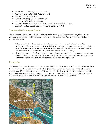- Robertson's Auto Body (7361 W. State Street)
- Walmart Super Center (7319 W. State Street)
- Rite Aid (7020 W. State Street)
- Westco Martinizing (7150 W. State Street)
- Hansen-Rice (6015 Glenwood Street)
- Jackson's Food Stores at the corner of Glenwood Street and Marigold Street
- Jackson's Food Stores at the corner of State Street & Pierce Park

#### Threatened & Endangered Species

The US Fish and Wildlife Service (USFWS) Information for Planning and Conservation (IPaC) database was reviewed to identify potential endangered species within the project area. The list identified the following threatened species:

- Yellow-billed Cuckoo: These birds are fairly large, long and slim with yellow bills. The USFWS Environmental Conservation Online System (ECOS) maps, which document species occurrences, indicate potential occurrence of the species within the project area. Critical habitat areas for the yellow-billed cuckoo are found in four areas of Idaho, none of which are within Ada County.
- Slickspot Peppergrass: This flowering plant is found almost exclusively in the slick spots of southwestern Idaho. ECOS maps noted the potential occurrence of the plant within the project area, although critical habitat occurrence was within the Boise foothills, miles from the project area.

#### **Floodplains**

The Federal Emergency Management Administration (FEMA) Flood Rate Insurance Maps indicate that the Boise River and surrounding area is a mapped floodway (see below). The project area surrounding it is located both within mapped flood zones AE and X. Zone AE is an area defined as having a 1% chance of being inundated by flood event, and referred to as the 100-year flood. Zone X is the area between the limits of the base flood and 0.2% annual chance of being inundated by flood event, referred to as the 500-year flood.

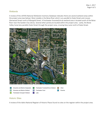#### **Wetlands**

A review of the USFWS National Wetlands Inventory Database indicates there are several wetland areas within the project area (see below). Most notably is the Boise River which runs parallel to State Street and crosses Glenwood Street north of Marigold Street. A freshwater forested/shrub wetland area is located south of the Boise River near the Garden City Library. Several other ponds are located within the project area. Lastly, the Boise Valley Canal also parallels State Street through the project area, crossing Gary Lane north of State Street.



#### Historic Sites

A review of the Idaho National Register of Historic Places found no sites on the register within the project area.